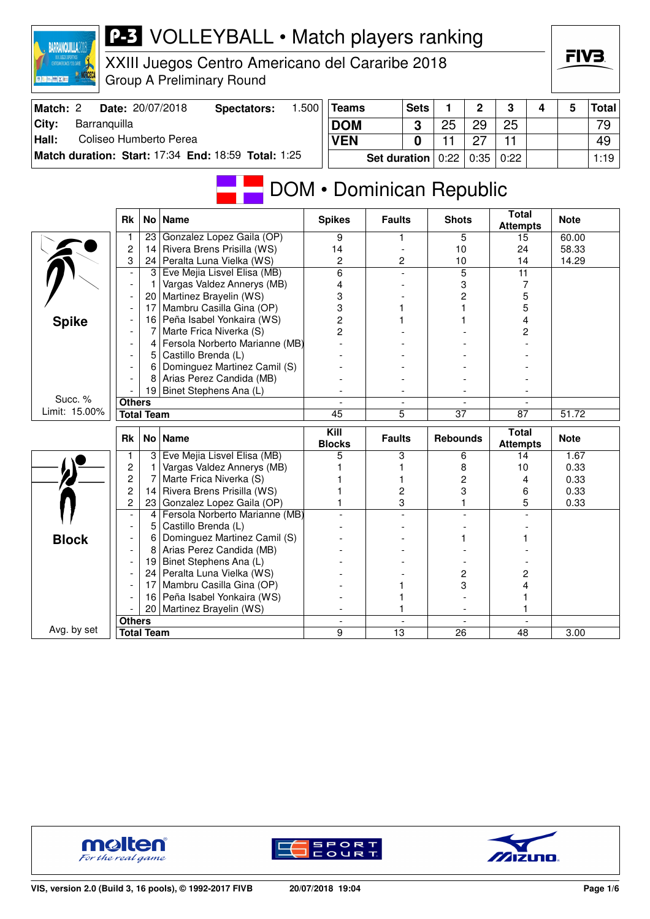| XXIII Juegos Centro Americano del Cararibe 2018<br><b>Group A Preliminary Round</b><br><b>BELLINEXE</b>                  |                                 |              | FIV3.        |
|--------------------------------------------------------------------------------------------------------------------------|---------------------------------|--------------|--------------|
| Match: 2<br>Date: 20/07/2018<br>1.500<br><b>Sets</b><br>2<br>3<br><b>Spectators:</b><br><b>Teams</b><br>1                | 4                               | 5            | <b>Total</b> |
| City:<br>Barranquilla<br>25<br><b>DOM</b><br>25<br>29<br>3                                                               |                                 |              | 79           |
| Hall:<br>Coliseo Humberto Perea<br>11<br>11<br><b>VEN</b><br>$\bf{0}$<br>27                                              |                                 |              | 49           |
| Match duration: Start: 17:34 End: 18:59 Total: 1:25<br>0:22<br>0:22<br><b>Set duration</b><br>0:35                       |                                 |              | 1:19         |
| DOM • Dominican Republic                                                                                                 | <b>Total</b>                    |              |              |
| <b>Spikes</b><br><b>Faults</b><br><b>Rk</b><br>No   Name<br><b>Shots</b>                                                 | <b>Attempts</b>                 | <b>Note</b>  |              |
| Gonzalez Lopez Gaila (OP)<br>9<br>5<br>23<br>1                                                                           | 15                              | 60.00        |              |
| 2<br>Rivera Brens Prisilla (WS)<br>14 I<br>14<br>10<br>3                                                                 | 24                              | 58.33        |              |
| 24   Peralta Luna Vielka (WS)<br>2<br>2<br>10<br>6<br>5<br>Eve Mejia Lisvel Elisa (MB)<br>3 <br>$\overline{\phantom{a}}$ | 14<br>$\overline{11}$           | 14.29        |              |
| Vargas Valdez Annerys (MB)<br>3<br>1<br>4<br>$\overline{\phantom{a}}$                                                    | 7                               |              |              |
| 20   Martinez Brayelin (WS)<br>3<br>2                                                                                    | 5                               |              |              |
| Mambru Casilla Gina (OP)<br>3<br>17                                                                                      | 5                               |              |              |
| 16 Peña Isabel Yonkaira (WS)<br>2<br><b>Spike</b>                                                                        | 4                               |              |              |
| 2<br>Marte Frica Niverka (S)<br>7                                                                                        | 2                               |              |              |
| Fersola Norberto Marianne (MB)<br>4                                                                                      |                                 |              |              |
| Castillo Brenda (L)<br>5                                                                                                 |                                 |              |              |
| Dominguez Martinez Camil (S)<br>6                                                                                        |                                 |              |              |
| Arias Perez Candida (MB)<br>8<br>19 Binet Stephens Ana (L)                                                               |                                 |              |              |
| Succ. %<br><b>Others</b>                                                                                                 |                                 |              |              |
| Limit: 15.00%<br>5<br><b>Total Team</b><br>$\overline{45}$<br>$\overline{37}$                                            | $\overline{87}$                 | 51.72        |              |
|                                                                                                                          |                                 |              |              |
| Kill<br>No   Name<br><b>Faults</b><br><b>Rebounds</b><br>Rk<br><b>Blocks</b>                                             | <b>Total</b><br><b>Attempts</b> | <b>Note</b>  |              |
| 3 Eve Mejia Lisvel Elisa (MB)<br>5<br>1<br>3<br>6                                                                        | 14                              | 1.67         |              |
| 2<br>Vargas Valdez Annerys (MB)<br>8<br>1                                                                                | 10                              | 0.33         |              |
| 2<br>Marte Frica Niverka (S)<br>7<br>2<br>2<br>Rivera Brens Prisilla (WS)                                                | 4                               | 0.33         |              |
| 14 <br>2<br>3<br>2<br>23 Gonzalez Lopez Gaila (OP)<br>3                                                                  | 6<br>5                          | 0.33<br>0.33 |              |
| Fersola Norberto Marianne (MB)<br>4                                                                                      |                                 |              |              |
| 5   Castillo Brenda (L)                                                                                                  |                                 |              |              |
| 6<br>Dominguez Martinez Camil (S)<br><b>Block</b>                                                                        |                                 |              |              |
| 8 Arias Perez Candida (MB)                                                                                               |                                 |              |              |
| 19 Binet Stephens Ana (L)                                                                                                |                                 |              |              |
| 24 Peralta Luna Vielka (WS)<br>$\overline{\mathbf{c}}$<br>$\overline{\phantom{a}}$                                       | 2                               |              |              |
| 17 Mambru Casilla Gina (OP)<br>3                                                                                         | 4                               |              |              |
| 16 Peña Isabel Yonkaira (WS)                                                                                             | 1                               |              |              |
| 20   Martinez Brayelin (WS)<br><b>Others</b>                                                                             | 1                               |              |              |
| Avg. by set<br><b>Total Team</b><br>9<br>13<br>26                                                                        | 48                              | 3.00         |              |



**BARRANQUILLA2018** 





FIV3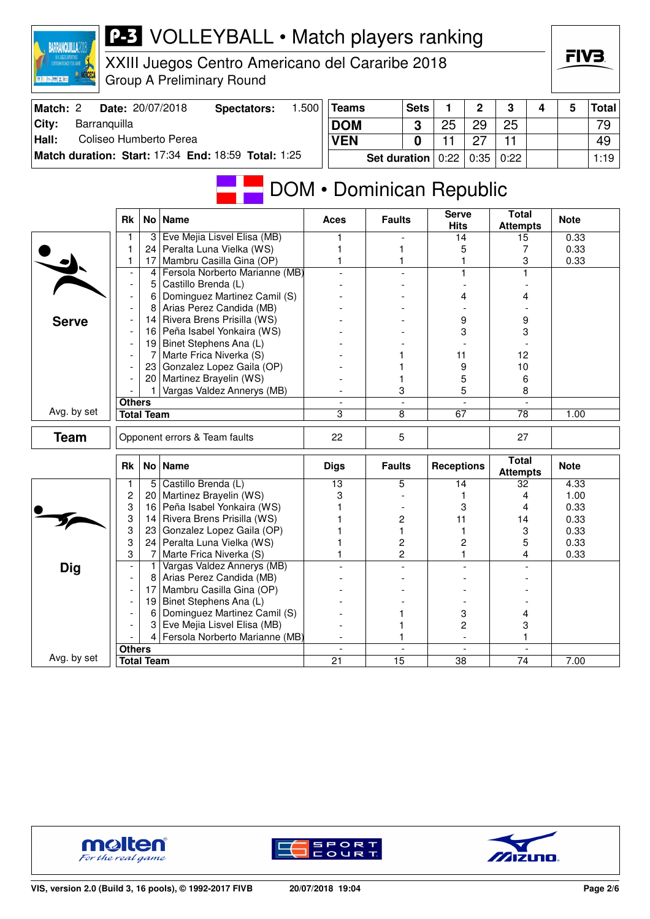| XXII JUEGOS DEPORTIVOS<br>CENTROANERICANOS Y DEL CARIE<br>图 三 三 四 以下 |                          |                   | XXIII Juegos Centro Americano del Cararibe 2018<br><b>Group A Preliminary Round</b> |       |                          |                     |                |                             |                |                                 |   | FIV3.        |              |
|----------------------------------------------------------------------|--------------------------|-------------------|-------------------------------------------------------------------------------------|-------|--------------------------|---------------------|----------------|-----------------------------|----------------|---------------------------------|---|--------------|--------------|
| Match: 2                                                             |                          |                   | Date: 20/07/2018<br><b>Spectators:</b>                                              | 1.500 | <b>Teams</b>             |                     | <b>Sets</b>    | 1                           | $\overline{2}$ | 3                               | 4 | 5            | <b>Total</b> |
| Barranquilla<br>City:                                                |                          |                   |                                                                                     |       | <b>DOM</b>               |                     | 3              | 25                          | 29             | 25                              |   |              | 79           |
| Hall:                                                                |                          |                   | Coliseo Humberto Perea                                                              |       | <b>VEN</b>               |                     | $\mathbf{0}$   | 11                          | 27             | 11                              |   |              | 49           |
|                                                                      |                          |                   | Match duration: Start: 17:34 End: 18:59 Total: 1:25                                 |       |                          |                     |                |                             |                |                                 |   |              |              |
|                                                                      |                          |                   |                                                                                     |       |                          | <b>Set duration</b> |                | 0:22                        | 0:35           | 0:22                            |   |              | 1:19         |
|                                                                      |                          |                   |                                                                                     |       | DOM • Dominican Republic |                     |                |                             |                |                                 |   |              |              |
|                                                                      | <b>Rk</b>                |                   | No   Name                                                                           |       | Aces                     | <b>Faults</b>       |                | <b>Serve</b><br><b>Hits</b> |                | <b>Total</b><br><b>Attempts</b> |   | <b>Note</b>  |              |
|                                                                      | 1                        | 3                 | Eve Mejia Lisvel Elisa (MB)                                                         |       | 1                        |                     |                | 14                          |                | 15                              |   | 0.33         |              |
|                                                                      | 1                        |                   | 24 Peralta Luna Vielka (WS)                                                         |       |                          |                     |                | 5                           |                | 7                               |   | 0.33         |              |
|                                                                      | 1                        |                   | 17 Mambru Casilla Gina (OP)<br>Fersola Norberto Marianne (MB)                       |       | 1                        |                     |                |                             |                | 3                               |   | 0.33         |              |
|                                                                      | $\overline{\phantom{a}}$ | 4<br>5            | Castillo Brenda (L)                                                                 |       |                          |                     |                |                             |                |                                 |   |              |              |
|                                                                      | $\overline{a}$           | 6                 | Dominguez Martinez Camil (S)                                                        |       |                          |                     |                | 4                           |                | 4                               |   |              |              |
|                                                                      |                          | 8                 | Arias Perez Candida (MB)                                                            |       |                          |                     |                |                             |                |                                 |   |              |              |
| <b>Serve</b>                                                         |                          |                   | 14 Rivera Brens Prisilla (WS)                                                       |       |                          |                     |                | 9                           |                | 9                               |   |              |              |
|                                                                      |                          |                   | 16 Peña Isabel Yonkaira (WS)                                                        |       |                          |                     |                | 3                           |                | 3                               |   |              |              |
|                                                                      |                          |                   | 19 Binet Stephens Ana (L)                                                           |       |                          |                     |                |                             |                |                                 |   |              |              |
|                                                                      | $\overline{\phantom{a}}$ | 7                 | Marte Frica Niverka (S)                                                             |       |                          |                     |                | 11                          |                | 12                              |   |              |              |
|                                                                      |                          | 23                | Gonzalez Lopez Gaila (OP)                                                           |       |                          |                     |                | 9                           |                | 10                              |   |              |              |
|                                                                      |                          |                   | 20   Martinez Brayelin (WS)                                                         |       |                          |                     |                | 5                           |                | 6                               |   |              |              |
|                                                                      | <b>Others</b>            |                   | Vargas Valdez Annerys (MB)                                                          |       |                          | 3                   | $\overline{a}$ | 5                           |                | 8                               |   |              |              |
| Avg. by set                                                          |                          | <b>Total Team</b> |                                                                                     |       | 3                        | 8                   |                | 67                          |                | 78                              |   | 1.00         |              |
|                                                                      |                          |                   |                                                                                     |       |                          |                     |                |                             |                |                                 |   |              |              |
| <b>Team</b>                                                          |                          |                   | Opponent errors & Team faults                                                       |       | 22                       | 5                   |                |                             |                | 27                              |   |              |              |
|                                                                      | Rk                       |                   | No   Name                                                                           |       | <b>Digs</b>              | <b>Faults</b>       |                | <b>Receptions</b>           |                | <b>Total</b><br><b>Attempts</b> |   | <b>Note</b>  |              |
|                                                                      | 1                        |                   | 5 Castillo Brenda (L)                                                               |       | 13                       | 5                   |                | 14                          |                | 32                              |   | 4.33         |              |
|                                                                      | 2<br>3                   |                   | 20   Martinez Brayelin (WS)<br>16 Peña Isabel Yonkaira (WS)                         |       | 3                        |                     |                |                             |                | 4                               |   | 1.00         |              |
|                                                                      | 3                        | 14                | Rivera Brens Prisilla (WS)                                                          |       |                          | 2                   |                | 3<br>11                     |                | 4<br>14                         |   | 0.33<br>0.33 |              |
|                                                                      | 3                        | 23                | Gonzalez Lopez Gaila (OP)                                                           |       | 1                        | 1                   |                |                             |                | 3                               |   | 0.33         |              |
|                                                                      | 3                        | 24                | Peralta Luna Vielka (WS)                                                            |       |                          | 2                   |                | 2                           |                | 5                               |   | 0.33         |              |
|                                                                      | 3                        | 7                 | Marte Frica Niverka (S)                                                             |       | 1                        | 2                   |                | 1                           |                | 4                               |   | 0.33         |              |
| <b>Dig</b>                                                           |                          | 1                 | Vargas Valdez Annerys (MB)                                                          |       |                          |                     |                |                             |                |                                 |   |              |              |
|                                                                      | $\overline{\phantom{a}}$ | 8                 | Arias Perez Candida (MB)                                                            |       |                          |                     |                |                             |                |                                 |   |              |              |
|                                                                      | $\overline{\phantom{a}}$ | 17                | Mambru Casilla Gina (OP)                                                            |       |                          |                     |                |                             |                |                                 |   |              |              |
|                                                                      | $\overline{\phantom{a}}$ | 19                | Binet Stephens Ana (L)                                                              |       |                          |                     |                |                             |                |                                 |   |              |              |
|                                                                      |                          | 6<br>3            | Dominguez Martinez Camil (S)<br>Eve Mejia Lisvel Elisa (MB)                         |       |                          | 1                   |                | 3<br>2                      |                | 4                               |   |              |              |
|                                                                      |                          | 4                 | Fersola Norberto Marianne (MB)                                                      |       |                          |                     |                |                             | $\blacksquare$ | 3<br>1                          |   |              |              |
|                                                                      | <b>Others</b>            |                   |                                                                                     |       |                          |                     |                |                             |                |                                 |   |              |              |
| Avg. by set                                                          |                          | <b>Total Team</b> |                                                                                     |       | $\overline{21}$          | $\overline{15}$     |                | 38                          |                | $\overline{74}$                 |   | 7.00         |              |



**BARRANQUILLA2018** 





FIV3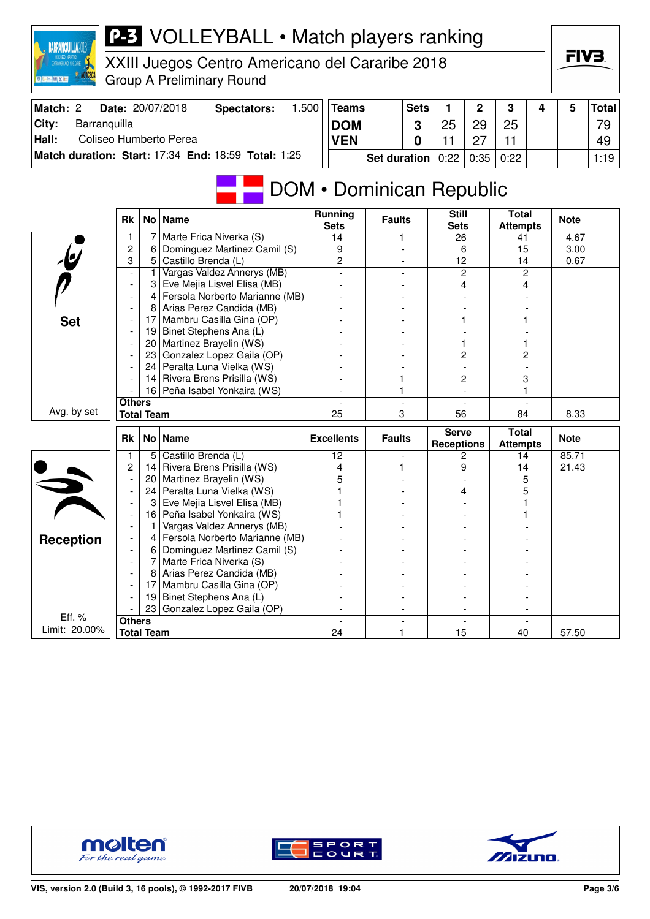

XXIII Juegos Centro Americano del Cararibe 2018 Group A Preliminary Round

| Match: 2      | <b>Date: 20/07/2018</b>                             | Spectators: | .500 | <b>Teams</b>                                   | <b>Sets</b> | ່າ | ີ  |  | Total |
|---------------|-----------------------------------------------------|-------------|------|------------------------------------------------|-------------|----|----|--|-------|
| City:         | Barranguilla                                        |             |      | <b>DOM</b>                                     | ≏           | 29 | 25 |  | 79    |
| $\vert$ Hall: | Coliseo Humberto Perea                              |             |      | <b>VEN</b>                                     |             |    |    |  | 49    |
|               | Match duration: Start: 17:34 End: 18:59 Total: 1:25 |             |      | <b>Set duration</b> $0:22 \mid 0:35 \mid 0:22$ |             |    |    |  | 1:19  |

# DOM • Dominican Republic

|                         | <b>Rk</b>                |                   | No   Name                      | <b>Running</b><br><b>Sets</b> | <b>Faults</b>                 | <b>Still</b><br><b>Sets</b> | <b>Total</b><br><b>Attempts</b> | <b>Note</b> |
|-------------------------|--------------------------|-------------------|--------------------------------|-------------------------------|-------------------------------|-----------------------------|---------------------------------|-------------|
|                         | 1                        | 7                 | Marte Frica Niverka (S)        | 14                            |                               | 26                          | 41                              | 4.67        |
|                         | $\overline{c}$           | 6                 | Dominguez Martinez Camil (S)   | 9                             |                               | 6                           | 15                              | 3.00        |
| $\overline{\mathbf{e}}$ | 3                        | 5                 | Castillo Brenda (L)            | 2                             |                               | 12                          | 14                              | 0.67        |
|                         |                          | 1                 | Vargas Valdez Annerys (MB)     |                               |                               | $\overline{c}$              | $\overline{c}$                  |             |
|                         |                          | 3                 | Eve Mejia Lisvel Elisa (MB)    |                               |                               | 4                           | 4                               |             |
|                         |                          | 4                 | Fersola Norberto Marianne (MB) |                               |                               |                             |                                 |             |
|                         |                          | 8                 | Arias Perez Candida (MB)       |                               |                               |                             |                                 |             |
| <b>Set</b>              |                          | 17                | Mambru Casilla Gina (OP)       |                               |                               |                             |                                 |             |
|                         |                          | 19                | Binet Stephens Ana (L)         |                               |                               |                             |                                 |             |
|                         |                          | 20                | Martinez Brayelin (WS)         |                               |                               |                             |                                 |             |
|                         |                          | 23                | Gonzalez Lopez Gaila (OP)      |                               |                               | 2                           | 2                               |             |
|                         |                          | 24                | Peralta Luna Vielka (WS)       |                               |                               |                             |                                 |             |
|                         |                          | 14                | Rivera Brens Prisilla (WS)     |                               |                               | 2                           | 3                               |             |
|                         |                          |                   | 16 Peña Isabel Yonkaira (WS)   |                               |                               |                             |                                 |             |
|                         | <b>Others</b>            |                   |                                |                               | $\blacksquare$                | $\overline{a}$              |                                 |             |
| Avg. by set             |                          | <b>Total Team</b> |                                | $\overline{25}$               | 3                             | $\overline{56}$             | 84                              | 8.33        |
|                         |                          |                   |                                |                               |                               |                             |                                 |             |
|                         | <b>Rk</b>                |                   | No   Name                      | <b>Excellents</b>             | <b>Faults</b>                 | <b>Serve</b>                | <b>Total</b><br><b>Attempts</b> | <b>Note</b> |
|                         | 1                        | 5                 | Castillo Brenda (L)            | 12                            | $\overline{a}$                | <b>Receptions</b><br>2      | 14                              | 85.71       |
|                         | 2                        | 14                | Rivera Brens Prisilla (WS)     | 4                             | 1                             | 9                           | 14                              | 21.43       |
|                         |                          | 20                | Martinez Brayelin (WS)         | 5                             |                               | $\overline{a}$              | 5                               |             |
|                         | $\overline{\phantom{a}}$ | 24                | Peralta Luna Vielka (WS)       |                               |                               | 4                           | 5                               |             |
|                         |                          | 3                 | Eve Mejia Lisvel Elisa (MB)    |                               |                               |                             |                                 |             |
|                         |                          | 16                | Peña Isabel Yonkaira (WS)      |                               |                               |                             |                                 |             |
|                         |                          | 1                 | Vargas Valdez Annerys (MB)     |                               |                               |                             |                                 |             |
|                         |                          | 4                 | Fersola Norberto Marianne (MB) |                               |                               |                             |                                 |             |
| <b>Reception</b>        |                          | 6                 | Dominguez Martinez Camil (S)   |                               |                               |                             |                                 |             |
|                         |                          | 7                 | Marte Frica Niverka (S)        |                               |                               |                             |                                 |             |
|                         |                          | 8                 | Arias Perez Candida (MB)       |                               |                               |                             |                                 |             |
|                         |                          | 17                | Mambru Casilla Gina (OP)       |                               |                               |                             |                                 |             |
|                         |                          | 19                | Binet Stephens Ana (L)         |                               |                               |                             |                                 |             |
|                         |                          | 23                | Gonzalez Lopez Gaila (OP)      |                               |                               |                             |                                 |             |
| Eff. %<br>Limit: 20.00% | <b>Others</b>            | <b>Total Team</b> |                                | 24                            | $\overline{\phantom{0}}$<br>1 | $\overline{15}$             | 40                              | 57.50       |





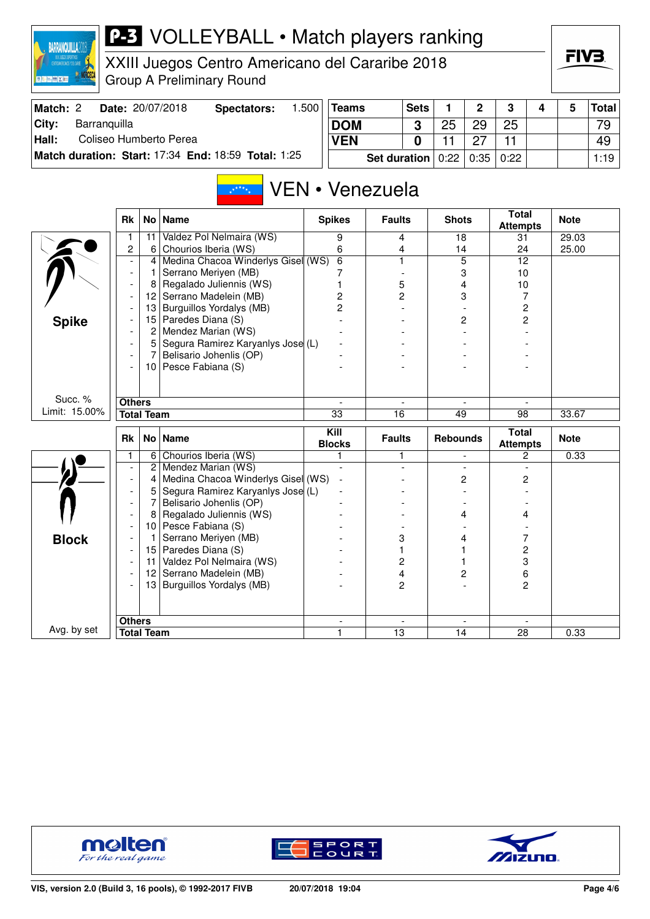

XXIII Juegos Centro Americano del Cararibe 2018 Group A Preliminary Round

| Match: 2      | <b>Date: 20/07/2018</b>                             | Spectators: | .500 | 'Teams                                         | <b>Sets</b> |    | ົ  | ີ  |  | Total <sup> </sup> |
|---------------|-----------------------------------------------------|-------------|------|------------------------------------------------|-------------|----|----|----|--|--------------------|
| City:         | Barranguilla                                        |             |      | <b>DOM</b>                                     |             | 25 | 29 | 25 |  | 79                 |
| $\vert$ Hall: | Coliseo Humberto Perea                              |             |      | <b>VEN</b>                                     |             |    |    |    |  | 49                 |
|               | Match duration: Start: 17:34 End: 18:59 Total: 1:25 |             |      | <b>Set duration</b> $0:22 \mid 0:35 \mid 0:22$ |             |    |    |    |  | 1:19               |

#### VEN • Venezuela  $\mathbb{R}^{k \times k}$

|               | <b>Rk</b>      |                   | No   Name                          | <b>Spikes</b>            | <b>Faults</b> | <b>Shots</b>             | <b>Total</b><br><b>Attempts</b>   | <b>Note</b> |
|---------------|----------------|-------------------|------------------------------------|--------------------------|---------------|--------------------------|-----------------------------------|-------------|
|               | 1              | 11                | Valdez Pol Nelmaira (WS)           | 9                        | 4             | 18                       | 31                                | 29.03       |
|               | $\overline{c}$ | 6                 | Chourios Iberia (WS)               | 6                        | 4             | 14                       | 24                                | 25.00       |
|               | $\overline{a}$ | 4                 | Medina Chacoa Winderlys Gisel (WS) | $\overline{6}$           | 1             | $\overline{5}$           | 12                                |             |
|               | $\overline{a}$ | 1                 | Serrano Meriyen (MB)               |                          |               | 3                        | 10                                |             |
|               |                | 8                 | Regalado Juliennis (WS)            | 1                        | 5             | 4                        | 10                                |             |
|               |                | 12                | Serrano Madelein (MB)              | 2                        | 2             | 3                        | 7                                 |             |
|               |                | 13                | Burguillos Yordalys (MB)           | $\overline{c}$           |               |                          | $\overline{c}$                    |             |
| <b>Spike</b>  |                | 15                | Paredes Diana (S)                  |                          |               | 2                        | $\overline{c}$                    |             |
|               |                | 2                 | Mendez Marian (WS)                 |                          |               |                          |                                   |             |
|               |                | 5                 | Segura Ramirez Karyanlys Jose (L)  |                          |               |                          |                                   |             |
|               |                | 7                 | Belisario Johenlis (OP)            |                          |               |                          |                                   |             |
|               |                |                   | 10 Pesce Fabiana (S)               |                          |               |                          |                                   |             |
|               |                |                   |                                    |                          |               |                          |                                   |             |
|               |                |                   |                                    |                          |               |                          |                                   |             |
| Succ. %       | <b>Others</b>  |                   |                                    |                          |               |                          |                                   |             |
| Limit: 15.00% |                | <b>Total Team</b> |                                    | 33                       | 16            | 49                       | 98                                | 33.67       |
|               |                |                   |                                    |                          |               |                          |                                   |             |
|               | <b>Rk</b>      |                   | No   Name                          | $\overline{K}$ ill       | <b>Faults</b> | <b>Rebounds</b>          | <b>Total</b>                      | <b>Note</b> |
|               | 1              | 6                 | Chourios Iberia (WS)               | <b>Blocks</b><br>1       | 1             | $\overline{\phantom{a}}$ | <b>Attempts</b><br>$\overline{2}$ | 0.33        |
|               | $\overline{a}$ | 2                 | Mendez Marian (WS)                 | $\overline{\phantom{a}}$ |               | $\overline{\phantom{a}}$ | $\blacksquare$                    |             |
|               | $\overline{a}$ | 4                 | Medina Chacoa Winderlys Gisel (WS) |                          |               | 2                        | 2                                 |             |
|               |                | 5                 | Segura Ramirez Karyanlys Jose (L)  |                          |               |                          |                                   |             |
|               | $\overline{a}$ | 7                 | Belisario Johenlis (OP)            |                          |               |                          |                                   |             |
|               |                | 8                 | Regalado Juliennis (WS)            |                          |               | 4                        | 4                                 |             |
|               |                | 10                | Pesce Fabiana (S)                  |                          |               |                          |                                   |             |
|               |                | 1                 | Serrano Meriyen (MB)               |                          | 3             | 4                        | 7                                 |             |
| <b>Block</b>  |                | 15                | Paredes Diana (S)                  |                          |               |                          | 2                                 |             |
|               | $\overline{a}$ | 11                | Valdez Pol Nelmaira (WS)           |                          | 2             |                          | 3                                 |             |
|               |                | 12                | Serrano Madelein (MB)              |                          | 4             | 2                        | 6                                 |             |
|               |                | 13                | Burguillos Yordalys (MB)           |                          | 2             |                          | 2                                 |             |
|               |                |                   |                                    |                          |               |                          |                                   |             |
|               |                |                   |                                    |                          |               |                          |                                   |             |
| Avg. by set   | <b>Others</b>  | <b>Total Team</b> |                                    | $\overline{\mathbf{1}}$  | 13            | 14                       | 28                                | 0.33        |





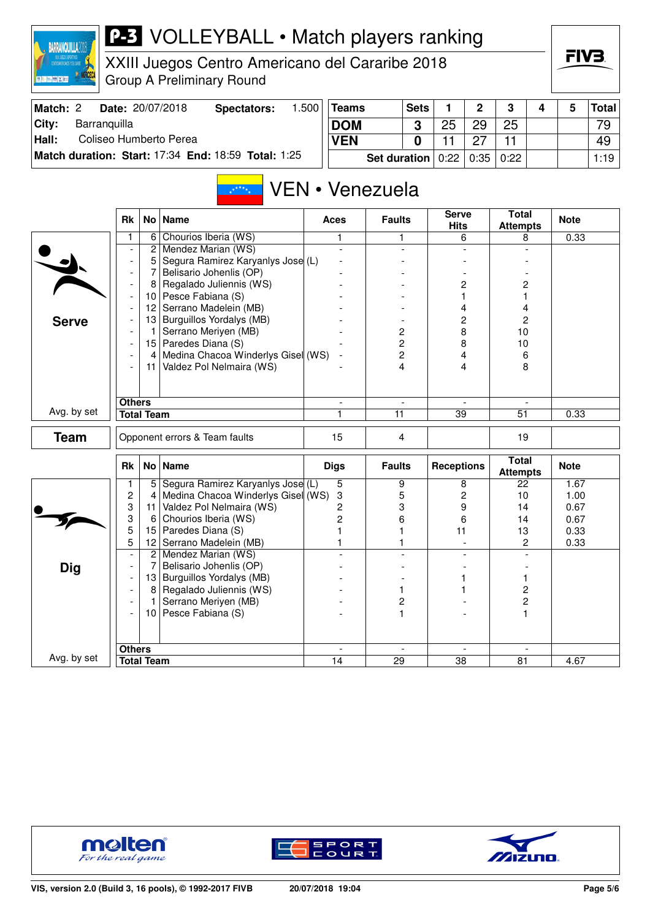

XXIII Juegos Centro Americano del Cararibe 2018 Group A Preliminary Round

| Match: 2 | Date: 20/07/2018                                    | Spectators: | ا 500. | Teams                                    | <b>Sets</b> |     | ົ  | ≏  |  | Total│ |
|----------|-----------------------------------------------------|-------------|--------|------------------------------------------|-------------|-----|----|----|--|--------|
| City:    | Barranquilla                                        |             |        | <b>DOM</b>                               |             | -25 | 29 | 25 |  | 79     |
| Hall:    | Coliseo Humberto Perea                              |             |        | <b>VEN</b>                               |             |     |    |    |  | 49     |
|          | Match duration: Start: 17:34 End: 18:59 Total: 1:25 |             |        | <b>Set duration</b> $0:22   0:35   0:22$ |             |     |    |    |  | 1:19   |

#### VEN • Venezuela  $\mathbb{R}^{k \times k}$

| Chourios Iberia (WS)<br>1<br>6<br>0.33<br>1<br>1<br>6<br>8<br>Mendez Marian (WS)<br>$\mathbf{2}$<br>$\blacksquare$<br>$\overline{a}$<br>$\blacksquare$<br>Segura Ramirez Karyanlys Jose (L)<br>5<br>$\overline{\phantom{0}}$<br>Belisario Johenlis (OP)<br>7<br>$\overline{\phantom{a}}$<br>Regalado Juliennis (WS)<br>2<br>$\overline{c}$<br>8<br>$\overline{\phantom{a}}$<br>Pesce Fabiana (S)<br>10<br>1<br>1<br>$\overline{\phantom{a}}$<br>Serrano Madelein (MB)<br>12<br>4<br>4<br>13<br>Burguillos Yordalys (MB)<br>2<br>$\overline{c}$<br><b>Serve</b><br>۰<br>8<br>$\overline{\mathbf{c}}$<br>Serrano Meriyen (MB)<br>10<br>$\mathbf{1}$<br>$\overline{\phantom{a}}$<br>$\overline{c}$<br>15 Paredes Diana (S)<br>8<br>10<br>$\overline{\phantom{a}}$<br>Medina Chacoa Winderlys Gisel (WS)<br>2<br>4<br>4 <br>6<br>$\overline{\phantom{a}}$<br>11 Valdez Pol Nelmaira (WS)<br>4<br>8<br>4<br><b>Others</b><br>$\overline{\phantom{a}}$<br>$\overline{\phantom{a}}$<br>$\overline{\phantom{a}}$<br>Avg. by set<br><b>Total Team</b><br>1<br>11<br>$\overline{39}$<br>$\overline{51}$<br>0.33<br><b>Team</b><br>$\overline{4}$<br>Opponent errors & Team faults<br>15<br>19<br><b>Total</b><br>No   Name<br><b>Rk</b><br><b>Digs</b><br><b>Faults</b><br><b>Receptions</b><br><b>Note</b><br><b>Attempts</b><br>Segura Ramirez Karyanlys Jose (L)<br>5<br>5<br>9<br>1<br>8<br>22<br>1.67<br>2<br>Medina Chacoa Winderlys Gisel (WS)<br>$\overline{c}$<br>4<br>3<br>5<br>10<br>1.00<br>3<br>Valdez Pol Nelmaira (WS)<br>3<br>9<br>2<br>14<br>0.67<br>11<br>3<br>$\overline{c}$<br>6<br>6<br>Chourios Iberia (WS)<br>0.67<br>14<br>6<br>5<br>Paredes Diana (S)<br>11<br>15<br>1<br>13<br>0.33<br>5<br>Serrano Madelein (MB)<br>12 <sub>2</sub><br>1<br>$\mathbf{2}$<br>0.33<br>1<br>$\overline{2}$<br>Mendez Marian (WS)<br>$\overline{\phantom{a}}$<br>Dig<br>7<br>Belisario Johenlis (OP)<br>$\overline{\phantom{a}}$<br>13 Burguillos Yordalys (MB)<br>1<br>$\overline{\phantom{a}}$<br>Regalado Juliennis (WS)<br>2<br>8 <br>1<br>$\overline{\phantom{0}}$ | <b>Rk</b> | No   Name | <b>Aces</b> | <b>Faults</b> | <b>Serve</b><br><b>Hits</b> | Total<br><b>Attempts</b> | <b>Note</b> |
|----------------------------------------------------------------------------------------------------------------------------------------------------------------------------------------------------------------------------------------------------------------------------------------------------------------------------------------------------------------------------------------------------------------------------------------------------------------------------------------------------------------------------------------------------------------------------------------------------------------------------------------------------------------------------------------------------------------------------------------------------------------------------------------------------------------------------------------------------------------------------------------------------------------------------------------------------------------------------------------------------------------------------------------------------------------------------------------------------------------------------------------------------------------------------------------------------------------------------------------------------------------------------------------------------------------------------------------------------------------------------------------------------------------------------------------------------------------------------------------------------------------------------------------------------------------------------------------------------------------------------------------------------------------------------------------------------------------------------------------------------------------------------------------------------------------------------------------------------------------------------------------------------------------------------------------------------------------------------------------------------------------------------------------------------------------------|-----------|-----------|-------------|---------------|-----------------------------|--------------------------|-------------|
|                                                                                                                                                                                                                                                                                                                                                                                                                                                                                                                                                                                                                                                                                                                                                                                                                                                                                                                                                                                                                                                                                                                                                                                                                                                                                                                                                                                                                                                                                                                                                                                                                                                                                                                                                                                                                                                                                                                                                                                                                                                                      |           |           |             |               |                             |                          |             |
|                                                                                                                                                                                                                                                                                                                                                                                                                                                                                                                                                                                                                                                                                                                                                                                                                                                                                                                                                                                                                                                                                                                                                                                                                                                                                                                                                                                                                                                                                                                                                                                                                                                                                                                                                                                                                                                                                                                                                                                                                                                                      |           |           |             |               |                             |                          |             |
|                                                                                                                                                                                                                                                                                                                                                                                                                                                                                                                                                                                                                                                                                                                                                                                                                                                                                                                                                                                                                                                                                                                                                                                                                                                                                                                                                                                                                                                                                                                                                                                                                                                                                                                                                                                                                                                                                                                                                                                                                                                                      |           |           |             |               |                             |                          |             |
|                                                                                                                                                                                                                                                                                                                                                                                                                                                                                                                                                                                                                                                                                                                                                                                                                                                                                                                                                                                                                                                                                                                                                                                                                                                                                                                                                                                                                                                                                                                                                                                                                                                                                                                                                                                                                                                                                                                                                                                                                                                                      |           |           |             |               |                             |                          |             |
|                                                                                                                                                                                                                                                                                                                                                                                                                                                                                                                                                                                                                                                                                                                                                                                                                                                                                                                                                                                                                                                                                                                                                                                                                                                                                                                                                                                                                                                                                                                                                                                                                                                                                                                                                                                                                                                                                                                                                                                                                                                                      |           |           |             |               |                             |                          |             |
|                                                                                                                                                                                                                                                                                                                                                                                                                                                                                                                                                                                                                                                                                                                                                                                                                                                                                                                                                                                                                                                                                                                                                                                                                                                                                                                                                                                                                                                                                                                                                                                                                                                                                                                                                                                                                                                                                                                                                                                                                                                                      |           |           |             |               |                             |                          |             |
|                                                                                                                                                                                                                                                                                                                                                                                                                                                                                                                                                                                                                                                                                                                                                                                                                                                                                                                                                                                                                                                                                                                                                                                                                                                                                                                                                                                                                                                                                                                                                                                                                                                                                                                                                                                                                                                                                                                                                                                                                                                                      |           |           |             |               |                             |                          |             |
|                                                                                                                                                                                                                                                                                                                                                                                                                                                                                                                                                                                                                                                                                                                                                                                                                                                                                                                                                                                                                                                                                                                                                                                                                                                                                                                                                                                                                                                                                                                                                                                                                                                                                                                                                                                                                                                                                                                                                                                                                                                                      |           |           |             |               |                             |                          |             |
|                                                                                                                                                                                                                                                                                                                                                                                                                                                                                                                                                                                                                                                                                                                                                                                                                                                                                                                                                                                                                                                                                                                                                                                                                                                                                                                                                                                                                                                                                                                                                                                                                                                                                                                                                                                                                                                                                                                                                                                                                                                                      |           |           |             |               |                             |                          |             |
|                                                                                                                                                                                                                                                                                                                                                                                                                                                                                                                                                                                                                                                                                                                                                                                                                                                                                                                                                                                                                                                                                                                                                                                                                                                                                                                                                                                                                                                                                                                                                                                                                                                                                                                                                                                                                                                                                                                                                                                                                                                                      |           |           |             |               |                             |                          |             |
|                                                                                                                                                                                                                                                                                                                                                                                                                                                                                                                                                                                                                                                                                                                                                                                                                                                                                                                                                                                                                                                                                                                                                                                                                                                                                                                                                                                                                                                                                                                                                                                                                                                                                                                                                                                                                                                                                                                                                                                                                                                                      |           |           |             |               |                             |                          |             |
|                                                                                                                                                                                                                                                                                                                                                                                                                                                                                                                                                                                                                                                                                                                                                                                                                                                                                                                                                                                                                                                                                                                                                                                                                                                                                                                                                                                                                                                                                                                                                                                                                                                                                                                                                                                                                                                                                                                                                                                                                                                                      |           |           |             |               |                             |                          |             |
|                                                                                                                                                                                                                                                                                                                                                                                                                                                                                                                                                                                                                                                                                                                                                                                                                                                                                                                                                                                                                                                                                                                                                                                                                                                                                                                                                                                                                                                                                                                                                                                                                                                                                                                                                                                                                                                                                                                                                                                                                                                                      |           |           |             |               |                             |                          |             |
|                                                                                                                                                                                                                                                                                                                                                                                                                                                                                                                                                                                                                                                                                                                                                                                                                                                                                                                                                                                                                                                                                                                                                                                                                                                                                                                                                                                                                                                                                                                                                                                                                                                                                                                                                                                                                                                                                                                                                                                                                                                                      |           |           |             |               |                             |                          |             |
|                                                                                                                                                                                                                                                                                                                                                                                                                                                                                                                                                                                                                                                                                                                                                                                                                                                                                                                                                                                                                                                                                                                                                                                                                                                                                                                                                                                                                                                                                                                                                                                                                                                                                                                                                                                                                                                                                                                                                                                                                                                                      |           |           |             |               |                             |                          |             |
|                                                                                                                                                                                                                                                                                                                                                                                                                                                                                                                                                                                                                                                                                                                                                                                                                                                                                                                                                                                                                                                                                                                                                                                                                                                                                                                                                                                                                                                                                                                                                                                                                                                                                                                                                                                                                                                                                                                                                                                                                                                                      |           |           |             |               |                             |                          |             |
|                                                                                                                                                                                                                                                                                                                                                                                                                                                                                                                                                                                                                                                                                                                                                                                                                                                                                                                                                                                                                                                                                                                                                                                                                                                                                                                                                                                                                                                                                                                                                                                                                                                                                                                                                                                                                                                                                                                                                                                                                                                                      |           |           |             |               |                             |                          |             |
|                                                                                                                                                                                                                                                                                                                                                                                                                                                                                                                                                                                                                                                                                                                                                                                                                                                                                                                                                                                                                                                                                                                                                                                                                                                                                                                                                                                                                                                                                                                                                                                                                                                                                                                                                                                                                                                                                                                                                                                                                                                                      |           |           |             |               |                             |                          |             |
|                                                                                                                                                                                                                                                                                                                                                                                                                                                                                                                                                                                                                                                                                                                                                                                                                                                                                                                                                                                                                                                                                                                                                                                                                                                                                                                                                                                                                                                                                                                                                                                                                                                                                                                                                                                                                                                                                                                                                                                                                                                                      |           |           |             |               |                             |                          |             |
|                                                                                                                                                                                                                                                                                                                                                                                                                                                                                                                                                                                                                                                                                                                                                                                                                                                                                                                                                                                                                                                                                                                                                                                                                                                                                                                                                                                                                                                                                                                                                                                                                                                                                                                                                                                                                                                                                                                                                                                                                                                                      |           |           |             |               |                             |                          |             |
|                                                                                                                                                                                                                                                                                                                                                                                                                                                                                                                                                                                                                                                                                                                                                                                                                                                                                                                                                                                                                                                                                                                                                                                                                                                                                                                                                                                                                                                                                                                                                                                                                                                                                                                                                                                                                                                                                                                                                                                                                                                                      |           |           |             |               |                             |                          |             |
|                                                                                                                                                                                                                                                                                                                                                                                                                                                                                                                                                                                                                                                                                                                                                                                                                                                                                                                                                                                                                                                                                                                                                                                                                                                                                                                                                                                                                                                                                                                                                                                                                                                                                                                                                                                                                                                                                                                                                                                                                                                                      |           |           |             |               |                             |                          |             |
|                                                                                                                                                                                                                                                                                                                                                                                                                                                                                                                                                                                                                                                                                                                                                                                                                                                                                                                                                                                                                                                                                                                                                                                                                                                                                                                                                                                                                                                                                                                                                                                                                                                                                                                                                                                                                                                                                                                                                                                                                                                                      |           |           |             |               |                             |                          |             |
|                                                                                                                                                                                                                                                                                                                                                                                                                                                                                                                                                                                                                                                                                                                                                                                                                                                                                                                                                                                                                                                                                                                                                                                                                                                                                                                                                                                                                                                                                                                                                                                                                                                                                                                                                                                                                                                                                                                                                                                                                                                                      |           |           |             |               |                             |                          |             |
|                                                                                                                                                                                                                                                                                                                                                                                                                                                                                                                                                                                                                                                                                                                                                                                                                                                                                                                                                                                                                                                                                                                                                                                                                                                                                                                                                                                                                                                                                                                                                                                                                                                                                                                                                                                                                                                                                                                                                                                                                                                                      |           |           |             |               |                             |                          |             |
|                                                                                                                                                                                                                                                                                                                                                                                                                                                                                                                                                                                                                                                                                                                                                                                                                                                                                                                                                                                                                                                                                                                                                                                                                                                                                                                                                                                                                                                                                                                                                                                                                                                                                                                                                                                                                                                                                                                                                                                                                                                                      |           |           |             |               |                             |                          |             |
|                                                                                                                                                                                                                                                                                                                                                                                                                                                                                                                                                                                                                                                                                                                                                                                                                                                                                                                                                                                                                                                                                                                                                                                                                                                                                                                                                                                                                                                                                                                                                                                                                                                                                                                                                                                                                                                                                                                                                                                                                                                                      |           |           |             |               |                             |                          |             |
|                                                                                                                                                                                                                                                                                                                                                                                                                                                                                                                                                                                                                                                                                                                                                                                                                                                                                                                                                                                                                                                                                                                                                                                                                                                                                                                                                                                                                                                                                                                                                                                                                                                                                                                                                                                                                                                                                                                                                                                                                                                                      |           |           |             |               |                             |                          |             |
| Serrano Meriyen (MB)<br>2<br>2<br>$\mathbf{1}$<br>$\overline{\phantom{a}}$                                                                                                                                                                                                                                                                                                                                                                                                                                                                                                                                                                                                                                                                                                                                                                                                                                                                                                                                                                                                                                                                                                                                                                                                                                                                                                                                                                                                                                                                                                                                                                                                                                                                                                                                                                                                                                                                                                                                                                                           |           |           |             |               |                             |                          |             |
| 10 Pesce Fabiana (S)<br>1<br>1                                                                                                                                                                                                                                                                                                                                                                                                                                                                                                                                                                                                                                                                                                                                                                                                                                                                                                                                                                                                                                                                                                                                                                                                                                                                                                                                                                                                                                                                                                                                                                                                                                                                                                                                                                                                                                                                                                                                                                                                                                       |           |           |             |               |                             |                          |             |
|                                                                                                                                                                                                                                                                                                                                                                                                                                                                                                                                                                                                                                                                                                                                                                                                                                                                                                                                                                                                                                                                                                                                                                                                                                                                                                                                                                                                                                                                                                                                                                                                                                                                                                                                                                                                                                                                                                                                                                                                                                                                      |           |           |             |               |                             |                          |             |
| <b>Others</b><br>$\overline{\phantom{a}}$<br>$\overline{\phantom{a}}$<br>$\overline{\phantom{a}}$<br>$\sim$                                                                                                                                                                                                                                                                                                                                                                                                                                                                                                                                                                                                                                                                                                                                                                                                                                                                                                                                                                                                                                                                                                                                                                                                                                                                                                                                                                                                                                                                                                                                                                                                                                                                                                                                                                                                                                                                                                                                                          |           |           |             |               |                             |                          |             |
| Avg. by set<br>$\overline{38}$<br><b>Total Team</b><br>14<br>29<br>81<br>4.67                                                                                                                                                                                                                                                                                                                                                                                                                                                                                                                                                                                                                                                                                                                                                                                                                                                                                                                                                                                                                                                                                                                                                                                                                                                                                                                                                                                                                                                                                                                                                                                                                                                                                                                                                                                                                                                                                                                                                                                        |           |           |             |               |                             |                          |             |